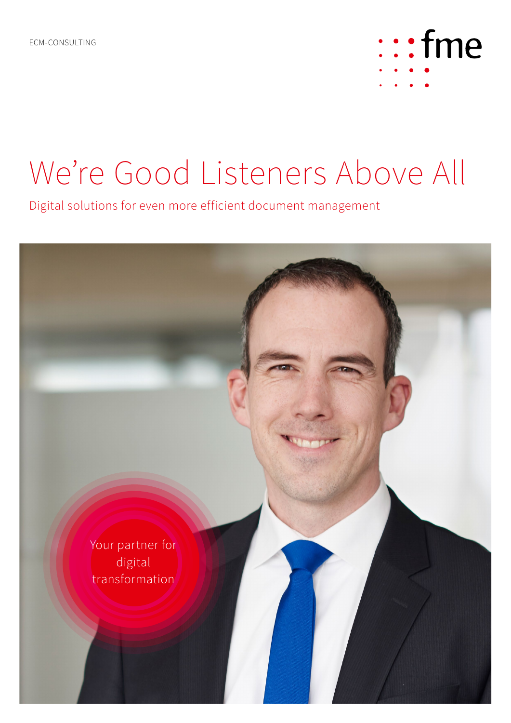

## We're Good Listeners Above All

Digital solutions for even more efficient document management

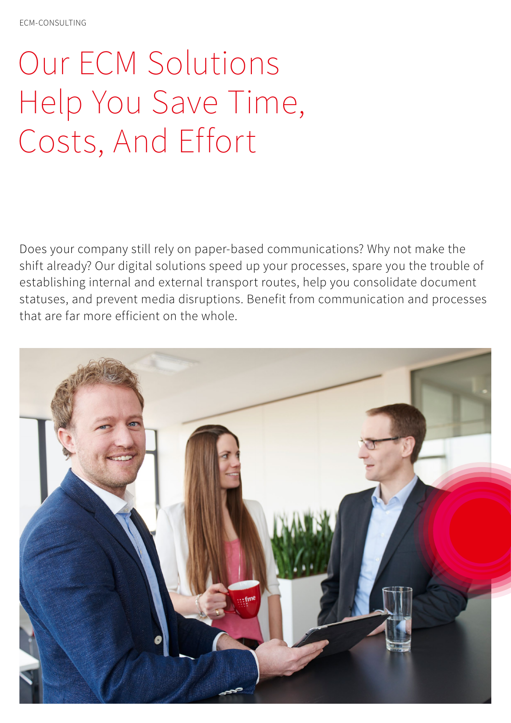# Our ECM Solutions Help You Save Time, Costs, And Effort

Does your company still rely on paper-based communications? Why not make the shift already? Our digital solutions speed up your processes, spare you the trouble of establishing internal and external transport routes, help you consolidate document statuses, and prevent media disruptions. Benefit from communication and processes that are far more efficient on the whole.

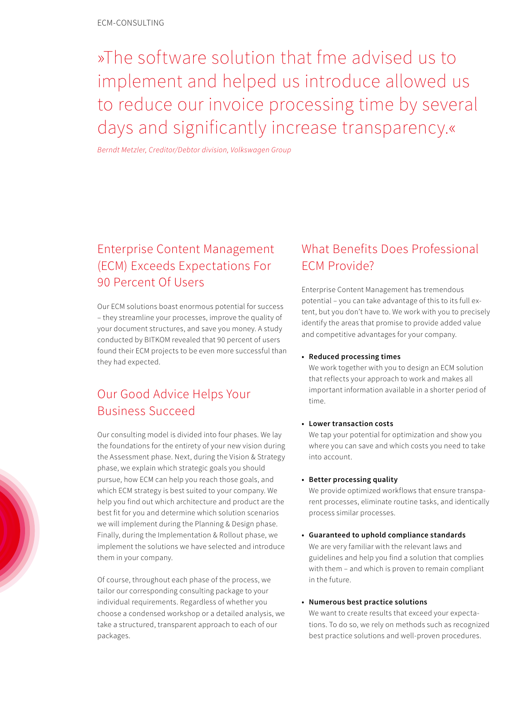»The software solution that fme advised us to implement and helped us introduce allowed us to reduce our invoice processing time by several days and significantly increase transparency.«

*Berndt Metzler, Creditor/Debtor division, Volkswagen Group*

## Enterprise Content Management (ECM) Exceeds Expectations For 90 Percent Of Users

Our ECM solutions boast enormous potential for success – they streamline your processes, improve the quality of your document structures, and save you money. A study conducted by BITKOM revealed that 90 percent of users found their ECM projects to be even more successful than they had expected.

## Our Good Advice Helps Your Business Succeed

Our consulting model is divided into four phases. We lay the foundations for the entirety of your new vision during the Assessment phase. Next, during the Vision & Strategy phase, we explain which strategic goals you should pursue, how ECM can help you reach those goals, and which ECM strategy is best suited to your company. We help you find out which architecture and product are the best fit for you and determine which solution scenarios we will implement during the Planning & Design phase. Finally, during the Implementation & Rollout phase, we implement the solutions we have selected and introduce them in your company.

Of course, throughout each phase of the process, we tailor our corresponding consulting package to your individual requirements. Regardless of whether you choose a condensed workshop or a detailed analysis, we take a structured, transparent approach to each of our packages.

## What Benefits Does Professional ECM Provide?

Enterprise Content Management has tremendous potential – you can take advantage of this to its full extent, but you don't have to. We work with you to precisely identify the areas that promise to provide added value and competitive advantages for your company.

#### **• Reduced processing times**

We work together with you to design an ECM solution that reflects your approach to work and makes all important information available in a shorter period of time.

#### **• Lower transaction costs**

We tap your potential for optimization and show you where you can save and which costs you need to take into account.

#### **• Better processing quality**

We provide optimized workflows that ensure transparent processes, eliminate routine tasks, and identically process similar processes.

**• Guaranteed to uphold compliance standards** We are very familiar with the relevant laws and guidelines and help you find a solution that complies with them – and which is proven to remain compliant in the future.

#### **• Numerous best practice solutions**

We want to create results that exceed your expectations. To do so, we rely on methods such as recognized best practice solutions and well-proven procedures.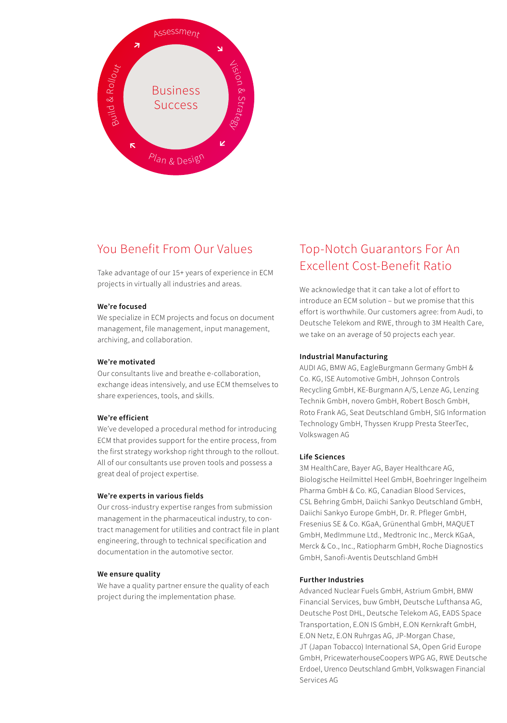

## You Benefit From Our Values

Take advantage of our 15+ years of experience in ECM projects in virtually all industries and areas.

#### **We're focused**

We specialize in ECM projects and focus on document management, file management, input management, archiving, and collaboration.

#### **We're motivated**

Our consultants live and breathe e-collaboration, exchange ideas intensively, and use ECM themselves to share experiences, tools, and skills.

#### **We're efficient**

We've developed a procedural method for introducing ECM that provides support for the entire process, from the first strategy workshop right through to the rollout. All of our consultants use proven tools and possess a great deal of project expertise.

#### **We're experts in various fields**

Our cross-industry expertise ranges from submission management in the pharmaceutical industry, to contract management for utilities and contract file in plant engineering, through to technical specification and documentation in the automotive sector.

#### **We ensure quality**

We have a quality partner ensure the quality of each project during the implementation phase.

## Top-Notch Guarantors For An Excellent Cost-Benefit Ratio

We acknowledge that it can take a lot of effort to introduce an ECM solution – but we promise that this effort is worthwhile. Our customers agree: from Audi, to Deutsche Telekom and RWE, through to 3M Health Care, we take on an average of 50 projects each year.

#### **Industrial Manufacturing**

AUDI AG, BMW AG, EagleBurgmann Germany GmbH & Co. KG, ISE Automotive GmbH, Johnson Controls Recycling GmbH, KE-Burgmann A/S, Lenze AG, Lenzing Technik GmbH, novero GmbH, Robert Bosch GmbH, Roto Frank AG, Seat Deutschland GmbH, SIG Information Technology GmbH, Thyssen Krupp Presta SteerTec, Volkswagen AG

#### **Life Sciences**

3M HealthCare, Bayer AG, Bayer Healthcare AG, Biologische Heilmittel Heel GmbH, Boehringer Ingelheim Pharma GmbH & Co. KG, Canadian Blood Services, CSL Behring GmbH, Daiichi Sankyo Deutschland GmbH, Daiichi Sankyo Europe GmbH, Dr. R. Pfleger GmbH, Fresenius SE & Co. KGaA, Grünenthal GmbH, MAQUET GmbH, MedImmune Ltd., Medtronic Inc., Merck KGaA, Merck & Co., Inc., Ratiopharm GmbH, Roche Diagnostics GmbH, Sanofi-Aventis Deutschland GmbH

#### **Further Industries**

Advanced Nuclear Fuels GmbH, Astrium GmbH, BMW Financial Services, buw GmbH, Deutsche Lufthansa AG, Deutsche Post DHL, Deutsche Telekom AG, EADS Space Transportation, E.ON IS GmbH, E.ON Kernkraft GmbH, E.ON Netz, E.ON Ruhrgas AG, JP-Morgan Chase, JT (Japan Tobacco) International SA, Open Grid Europe GmbH, PricewaterhouseCoopers WPG AG, RWE Deutsche Erdoel, Urenco Deutschland GmbH, Volkswagen Financial Services AG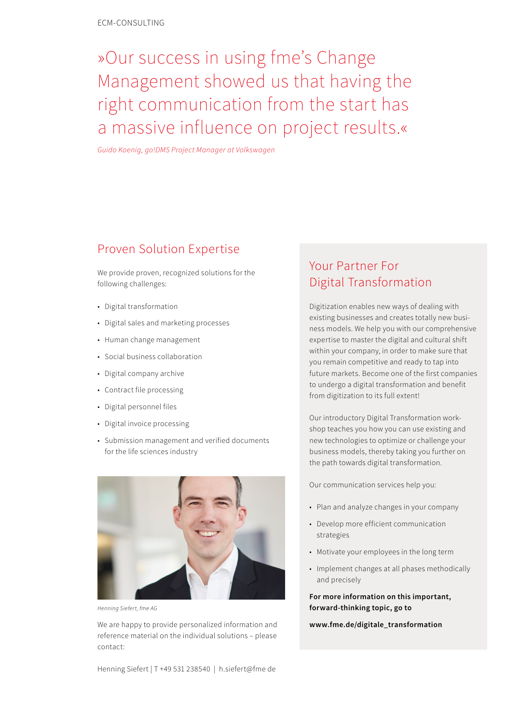## »Our success in using fme's Change Management showed us that having the right communication from the start has a massive influence on project results.«

*Guido Koenig, go!DMS Project Manager at Volkswagen*

### Proven Solution Expertise

We provide proven, recognized solutions for the following challenges:

- Digital transformation
- Digital sales and marketing processes
- Human change management
- Social business collaboration
- Digital company archive
- Contract file processing
- Digital personnel files
- Digital invoice processing
- Submission management and verified documents for the life sciences industry



*Henning Siefert, fme AG*

We are happy to provide personalized information and reference material on the individual solutions – please contact:

## Your Partner For Digital Transformation

Digitization enables new ways of dealing with existing businesses and creates totally new business models. We help you with our comprehensive expertise to master the digital and cultural shift within your company, in order to make sure that you remain competitive and ready to tap into future markets. Become one of the first companies to undergo a digital transformation and benefit from digitization to its full extent!

Our introductory Digital Transformation workshop teaches you how you can use existing and new technologies to optimize or challenge your business models, thereby taking you further on the path towards digital transformation.

Our communication services help you:

- Plan and analyze changes in your company
- Develop more efficient communication strategies
- Motivate your employees in the long term
- Implement changes at all phases methodically and precisely

**For more information on this important, forward-thinking topic, go to** 

**www.fme.de/digitale\_transformation**

Henning Siefert | T +49 531 238540 | h.siefert@fme de